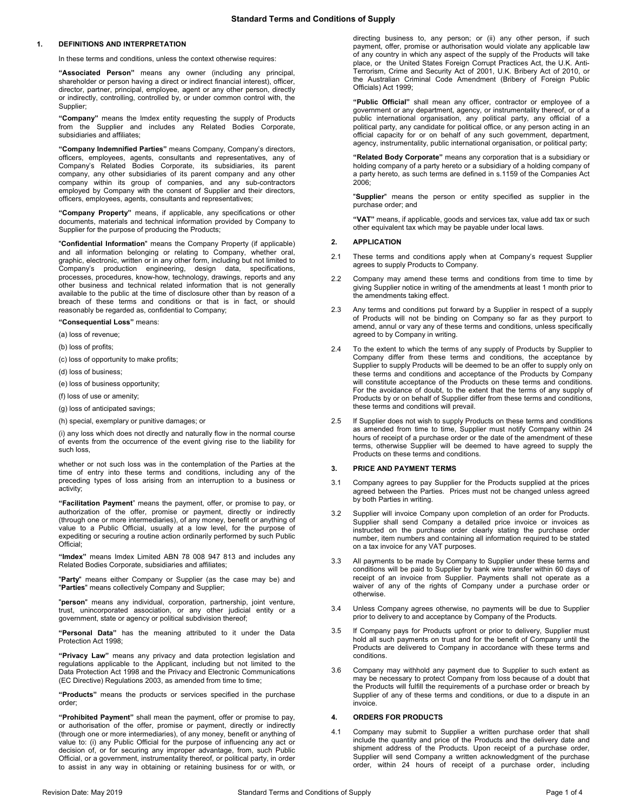# **1. DEFINITIONS AND INTERPRETATION**

In these terms and conditions, unless the context otherwise requires:

**"Associated Person"** means any owner (including any principal, shareholder or person having a direct or indirect financial interest), officer, director, partner, principal, employee, agent or any other person, directly or indirectly, controlling, controlled by, or under common control with, the Supplier;

**"Company"** means the Imdex entity requesting the supply of Products from the Supplier and includes any Related Bodies Corporate, subsidiaries and affiliates;

**"Company Indemnified Parties"** means Company, Company's directors, officers, employees, agents, consultants and representatives, any of Company's Related Bodies Corporate, its subsidiaries, its parent company, any other subsidiaries of its parent company and any other company within its group of companies, and any sub-contractors employed by Company with the consent of Supplier and their directors, officers, employees, agents, consultants and representatives;

**"Company Property"** means, if applicable, any specifications or other documents, materials and technical information provided by Company to Supplier for the purpose of producing the Products;

"**Confidential Information**" means the Company Property (if applicable) and all information belonging or relating to Company, whether oral, graphic, electronic, written or in any other form, including but not limited to Company's production engineering, design data, specifications, processes, procedures, know-how, technology, drawings, reports and any other business and technical related information that is not generally available to the public at the time of disclosure other than by reason of a breach of these terms and conditions or that is in fact, or should reasonably be regarded as, confidential to Company;

**"Consequential Loss"** means:

- (a) loss of revenue;
- (b) loss of profits;
- (c) loss of opportunity to make profits;
- (d) loss of business;
- (e) loss of business opportunity;
- (f) loss of use or amenity;
- (g) loss of anticipated savings;
- (h) special, exemplary or punitive damages; or

(i) any loss which does not directly and naturally flow in the normal course of events from the occurrence of the event giving rise to the liability for such loss,

whether or not such loss was in the contemplation of the Parties at the time of entry into these terms and conditions, including any of the preceding types of loss arising from an interruption to a business or activity;

**"Facilitation Payment**" means the payment, offer, or promise to pay, or authorization of the offer, promise or payment, directly or indirectly (through one or more intermediaries), of any money, benefit or anything of value to a Public Official, usually at a low level, for the purpose of expediting or securing a routine action ordinarily performed by such Public Official;

**"Imdex"** means Imdex Limited ABN 78 008 947 813 and includes any Related Bodies Corporate, subsidiaries and affiliates;

"**Party**" means either Company or Supplier (as the case may be) and "**Parties**" means collectively Company and Supplier;

"**person**" means any individual, corporation, partnership, joint venture, trust, unincorporated association, or any other judicial entity or a government, state or agency or political subdivision thereof;

**"Personal Data"** has the meaning attributed to it under the Data Protection Act 1998;

**"Privacy Law"** means any privacy and data protection legislation and regulations applicable to the Applicant, including but not limited to the Data Protection Act 1998 and the Privacy and Electronic Communications (EC Directive) Regulations 2003, as amended from time to time;

**"Products"** means the products or services specified in the purchase order;

**"Prohibited Payment"** shall mean the payment, offer or promise to pay, or authorisation of the offer, promise or payment, directly or indirectly (through one or more intermediaries), of any money, benefit or anything of value to: (i) any Public Official for the purpose of influencing any act or decision of, or for securing any improper advantage, from, such Public Official, or a government, instrumentality thereof, or political party, in order to assist in any way in obtaining or retaining business for or with, or

directing business to, any person; or (ii) any other person, if such payment, offer, promise or authorisation would violate any applicable law of any country in which any aspect of the supply of the Products will take place, or the United States Foreign Corrupt Practices Act, the U.K. Anti-Terrorism, Crime and Security Act of 2001, U.K. Bribery Act of 2010, or the Australian Criminal Code Amendment (Bribery of Foreign Public Officials) Act 1999;

**"Public Official"** shall mean any officer, contractor or employee of a government or any department, agency, or instrumentality thereof, or of a public international organisation, any political party, any official of a political party, any candidate for political office, or any person acting in an official capacity for or on behalf of any such government, department, agency, instrumentality, public international organisation, or political party;

**"Related Body Corporate"** means any corporation that is a subsidiary or holding company of a party hereto or a subsidiary of a holding company of a party hereto, as such terms are defined in s.1159 of the Companies Act 2006;

"**Supplier**" means the person or entity specified as supplier in the purchase order; and

**"VAT"** means, if applicable, goods and services tax, value add tax or such other equivalent tax which may be payable under local laws.

#### **2. APPLICATION**

- 2.1 These terms and conditions apply when at Company's request Supplier agrees to supply Products to Company.
- 2.2 Company may amend these terms and conditions from time to time by giving Supplier notice in writing of the amendments at least 1 month prior to the amendments taking effect.
- 2.3 Any terms and conditions put forward by a Supplier in respect of a supply of Products will not be binding on Company so far as they purport to amend, annul or vary any of these terms and conditions, unless specifically agreed to by Company in writing.
- 2.4 To the extent to which the terms of any supply of Products by Supplier to Company differ from these terms and conditions, the acceptance by Supplier to supply Products will be deemed to be an offer to supply only on these terms and conditions and acceptance of the Products by Company will constitute acceptance of the Products on these terms and conditions. For the avoidance of doubt, to the extent that the terms of any supply of Products by or on behalf of Supplier differ from these terms and conditions, these terms and conditions will prevail.
- 2.5 If Supplier does not wish to supply Products on these terms and conditions as amended from time to time, Supplier must notify Company within 24 hours of receipt of a purchase order or the date of the amendment of these terms, otherwise Supplier will be deemed to have agreed to supply the Products on these terms and conditions.

## **3. PRICE AND PAYMENT TERMS**

- 3.1 Company agrees to pay Supplier for the Products supplied at the prices agreed between the Parties. Prices must not be changed unless agreed by both Parties in writing.
- 3.2 Supplier will invoice Company upon completion of an order for Products. Supplier shall send Company a detailed price invoice or invoices as instructed on the purchase order clearly stating the purchase order number, item numbers and containing all information required to be stated on a tax invoice for any VAT purposes.
- 3.3 All payments to be made by Company to Supplier under these terms and conditions will be paid to Supplier by bank wire transfer within 60 days of receipt of an invoice from Supplier. Payments shall not operate as a waiver of any of the rights of Company under a purchase order or otherwise.
- 3.4 Unless Company agrees otherwise, no payments will be due to Supplier prior to delivery to and acceptance by Company of the Products.
- 3.5 If Company pays for Products upfront or prior to delivery, Supplier must hold all such payments on trust and for the benefit of Company until the Products are delivered to Company in accordance with these terms and conditions.
- 3.6 Company may withhold any payment due to Supplier to such extent as may be necessary to protect Company from loss because of a doubt that the Products will fulfill the requirements of a purchase order or breach by Supplier of any of these terms and conditions, or due to a dispute in an invoice.

## **4. ORDERS FOR PRODUCTS**

<span id="page-0-0"></span>4.1 Company may submit to Supplier a written purchase order that shall include the quantity and price of the Products and the delivery date and shipment address of the Products. Upon receipt of a purchase order, Supplier will send Company a written acknowledgment of the purchase order, within 24 hours of receipt of a purchase order, including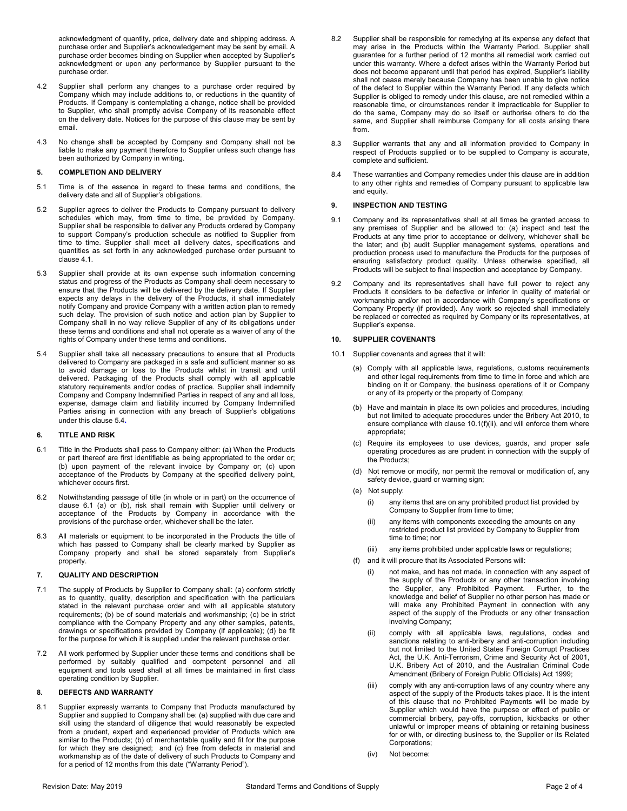acknowledgment of quantity, price, delivery date and shipping address. A purchase order and Supplier's acknowledgement may be sent by email. A purchase order becomes binding on Supplier when accepted by Supplier's acknowledgment or upon any performance by Supplier pursuant to the purchase order.

- 4.2 Supplier shall perform any changes to a purchase order required by Company which may include additions to, or reductions in the quantity of Products. If Company is contemplating a change, notice shall be provided to Supplier, who shall promptly advise Company of its reasonable effect on the delivery date. Notices for the purpose of this clause may be sent by email.
- 4.3 No change shall be accepted by Company and Company shall not be liable to make any payment therefore to Supplier unless such change has been authorized by Company in writing.

## **5. COMPLETION AND DELIVERY**

- 5.1 Time is of the essence in regard to these terms and conditions, the delivery date and all of Supplier's obligations.
- 5.2 Supplier agrees to deliver the Products to Company pursuant to delivery schedules which may, from time to time, be provided by Company. Supplier shall be responsible to deliver any Products ordered by Company to support Company's production schedule as notified to Supplier from time to time. Supplier shall meet all delivery dates, specifications and quantities as set forth in any acknowledged purchase order pursuant to claus[e 4.1.](#page-0-0)
- 5.3 Supplier shall provide at its own expense such information concerning status and progress of the Products as Company shall deem necessary to ensure that the Products will be delivered by the delivery date. If Supplier expects any delays in the delivery of the Products, it shall immediately notify Company and provide Company with a written action plan to remedy such delay. The provision of such notice and action plan by Supplier to Company shall in no way relieve Supplier of any of its obligations under these terms and conditions and shall not operate as a waiver of any of the rights of Company under these terms and conditions.
- <span id="page-1-0"></span>5.4 Supplier shall take all necessary precautions to ensure that all Products delivered to Company are packaged in a safe and sufficient manner so as to avoid damage or loss to the Products whilst in transit and until delivered. Packaging of the Products shall comply with all applicable statutory requirements and/or codes of practice. Supplier shall indemnify Company and Company Indemnified Parties in respect of any and all loss, expense, damage claim and liability incurred by Company Indemnified Parties arising in connection with any breach of Supplier's obligations under this claus[e 5.4](#page-1-0)**.**

#### **6. TITLE AND RISK**

- <span id="page-1-1"></span>6.1 Title in the Products shall pass to Company either: (a) When the Products or part thereof are first identifiable as being appropriated to the order or; (b) upon payment of the relevant invoice by Company or; (c) upon acceptance of the Products by Company at the specified delivery point, whichever occurs first.
- 6.2 Notwithstanding passage of title (in whole or in part) on the occurrence of clause [6.1](#page-1-1) (a) or (b), risk shall remain with Supplier until delivery or acceptance of the Products by Company in accordance with the provisions of the purchase order, whichever shall be the later.
- 6.3 All materials or equipment to be incorporated in the Products the title of which has passed to Company shall be clearly marked by Supplier as Company property and shall be stored separately from Supplier's property.

# **7. QUALITY AND DESCRIPTION**

- 7.1 The supply of Products by Supplier to Company shall: (a) conform strictly as to quantity, quality, description and specification with the particulars stated in the relevant purchase order and with all applicable statutory requirements; (b) be of sound materials and workmanship; (c) be in strict compliance with the Company Property and any other samples, patents, drawings or specifications provided by Company (if applicable); (d) be fit for the purpose for which it is supplied under the relevant purchase order.
- 7.2 All work performed by Supplier under these terms and conditions shall be performed by suitably qualified and competent personnel and all equipment and tools used shall at all times be maintained in first class operating condition by Supplier.

## **8. DEFECTS AND WARRANTY**

8.1 Supplier expressly warrants to Company that Products manufactured by Supplier and supplied to Company shall be: (a) supplied with due care and skill using the standard of diligence that would reasonably be expected from a prudent, expert and experienced provider of Products which are similar to the Products; (b) of merchantable quality and fit for the purpose for which they are designed; and (c) free from defects in material and workmanship as of the date of delivery of such Products to Company and for a period of 12 months from this date ("Warranty Period").

- 8.2 Supplier shall be responsible for remedying at its expense any defect that may arise in the Products within the Warranty Period. Supplier shall guarantee for a further period of 12 months all remedial work carried out under this warranty. Where a defect arises within the Warranty Period but does not become apparent until that period has expired, Supplier's liability shall not cease merely because Company has been unable to give notice of the defect to Supplier within the Warranty Period. If any defects which Supplier is obliged to remedy under this clause, are not remedied within a reasonable time, or circumstances render it impracticable for Supplier to do the same, Company may do so itself or authorise others to do the same, and Supplier shall reimburse Company for all costs arising there from.
- 8.3 Supplier warrants that any and all information provided to Company in respect of Products supplied or to be supplied to Company is accurate, complete and sufficient.
- 8.4 These warranties and Company remedies under this clause are in addition to any other rights and remedies of Company pursuant to applicable law and equity.

#### **9. INSPECTION AND TESTING**

- 9.1 Company and its representatives shall at all times be granted access to any premises of Supplier and be allowed to: (a) inspect and test the Products at any time prior to acceptance or delivery, whichever shall be the later; and (b) audit Supplier management systems, operations and production process used to manufacture the Products for the purposes of ensuring satisfactory product quality. Unless otherwise specified, all Products will be subject to final inspection and acceptance by Company.
- 9.2 Company and its representatives shall have full power to reject any Products it considers to be defective or inferior in quality of material or workmanship and/or not in accordance with Company's specifications or Company Property (if provided). Any work so rejected shall immediately be replaced or corrected as required by Company or its representatives, at Supplier's expense.

#### **10. SUPPLIER COVENANTS**

- <span id="page-1-3"></span><span id="page-1-2"></span>10.1 Supplier covenants and agrees that it will:
	- (a) Comply with all applicable laws, regulations, customs requirements and other legal requirements from time to time in force and which are binding on it or Company, the business operations of it or Company or any of its property or the property of Company;
	- (b) Have and maintain in place its own policies and procedures, including but not limited to adequate procedures under the Bribery Act 2010, to ensure compliance with claus[e 10.1\(f](#page-1-2)[\)\(ii\),](#page-1-3) and will enforce them where appropriate;
	- (c) Require its employees to use devices, guards, and proper safe operating procedures as are prudent in connection with the supply of the Products;
	- (d) Not remove or modify, nor permit the removal or modification of, any safety device, guard or warning sign;
	- (e) Not supply:
		- (i) any items that are on any prohibited product list provided by Company to Supplier from time to time;
		- (ii) any items with components exceeding the amounts on any restricted product list provided by Company to Supplier from time to time; nor
		- (iii) any items prohibited under applicable laws or regulations;
	- (f) and it will procure that its Associated Persons will:
		- not make, and has not made, in connection with any aspect of the supply of the Products or any other transaction involving the Supplier, any Prohibited Payment. Further, to the knowledge and belief of Supplier no other person has made or will make any Prohibited Payment in connection with any aspect of the supply of the Products or any other transaction involving Company;
		- (ii) comply with all applicable laws, regulations, codes and sanctions relating to anti-bribery and anti-corruption including but not limited to the United States Foreign Corrupt Practices Act, the U.K. Anti-Terrorism, Crime and Security Act of 2001, U.K. Bribery Act of 2010, and the Australian Criminal Code Amendment (Bribery of Foreign Public Officials) Act 1999;
		- (iii) comply with any anti-corruption laws of any country where any aspect of the supply of the Products takes place. It is the intent of this clause that no Prohibited Payments will be made by Supplier which would have the purpose or effect of public or commercial bribery, pay-offs, corruption, kickbacks or other unlawful or improper means of obtaining or retaining business for or with, or directing business to, the Supplier or its Related Corporations;
		- (iv) Not become: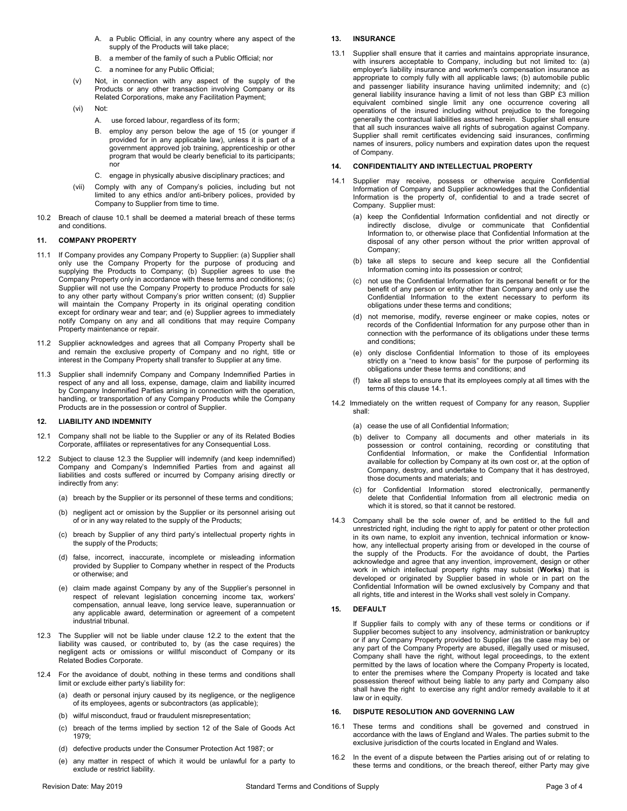- A. a Public Official, in any country where any aspect of the supply of the Products will take place;
- B. a member of the family of such a Public Official; nor
- C. a nominee for any Public Official;
- (v) Not, in connection with any aspect of the supply of the Products or any other transaction involving Company or its Related Corporations, make any Facilitation Payment;
- (vi) Not:
	- A. use forced labour, regardless of its form;
	- B. employ any person below the age of 15 (or younger if provided for in any applicable law), unless it is part of a government approved job training, apprenticeship or other program that would be clearly beneficial to its participants; nor
	- C. engage in physically abusive disciplinary practices; and
- (vii) Comply with any of Company's policies, including but not limited to any ethics and/or anti-bribery polices, provided by Company to Supplier from time to time.
- 10.2 Breach of clause [10.1](#page-1-2) shall be deemed a material breach of these terms and conditions.

## **11. COMPANY PROPERTY**

- 11.1 If Company provides any Company Property to Supplier: (a) Supplier shall only use the Company Property for the purpose of producing and supplying the Products to Company; (b) Supplier agrees to use the Company Property only in accordance with these terms and conditions; (c) Supplier will not use the Company Property to produce Products for sale to any other party without Company's prior written consent; (d) Supplier will maintain the Company Property in its original operating condition except for ordinary wear and tear; and (e) Supplier agrees to immediately notify Company on any and all conditions that may require Company Property maintenance or repair.
- 11.2 Supplier acknowledges and agrees that all Company Property shall be and remain the exclusive property of Company and no right, title or interest in the Company Property shall transfer to Supplier at any time.
- 11.3 Supplier shall indemnify Company and Company Indemnified Parties in respect of any and all loss, expense, damage, claim and liability incurred by Company Indemnified Parties arising in connection with the operation, handling, or transportation of any Company Products while the Company Products are in the possession or control of Supplier.

## **12. LIABILITY AND INDEMNITY**

- 12.1 Company shall not be liable to the Supplier or any of its Related Bodies Corporate, affiliates or representatives for any Consequential Loss.
- <span id="page-2-1"></span>12.2 Subject to clause [12.3](#page-2-0) the Supplier will indemnify (and keep indemnified) Company and Company's Indemnified Parties from and against all liabilities and costs suffered or incurred by Company arising directly or indirectly from any:
	- (a) breach by the Supplier or its personnel of these terms and conditions;
	- (b) negligent act or omission by the Supplier or its personnel arising out of or in any way related to the supply of the Products;
	- (c) breach by Supplier of any third party's intellectual property rights in the supply of the Products;
	- (d) false, incorrect, inaccurate, incomplete or misleading information provided by Supplier to Company whether in respect of the Products or otherwise; and
	- (e) claim made against Company by any of the Supplier's personnel in respect of relevant legislation concerning income tax, workers' compensation, annual leave, long service leave, superannuation or any applicable award, determination or agreement of a competent industrial tribunal.
- <span id="page-2-0"></span>12.3 The Supplier will not be liable under clause [12.2](#page-2-1) to the extent that the liability was caused, or contributed to, by (as the case requires) the negligent acts or omissions or willful misconduct of Company or its Related Bodies Corporate.
- 12.4 For the avoidance of doubt, nothing in these terms and conditions shall limit or exclude either party's liability for:
	- (a) death or personal injury caused by its negligence, or the negligence of its employees, agents or subcontractors (as applicable);
	- (b) wilful misconduct, fraud or fraudulent misrepresentation;
	- (c) breach of the terms implied by section 12 of the Sale of Goods Act 1979;
	- (d) defective products under the Consumer Protection Act 1987; or
	- (e) any matter in respect of which it would be unlawful for a party to exclude or restrict liability.

# **13. INSURANCE**

13.1 Supplier shall ensure that it carries and maintains appropriate insurance, with insurers acceptable to Company, including but not limited to: (a) employer's liability insurance and workmen's compensation insurance as appropriate to comply fully with all applicable laws; (b) automobile public and passenger liability insurance having unlimited indemnity; and (c) general liability insurance having a limit of not less than GBP £3 million equivalent combined single limit any one occurrence covering all operations of the insured including without prejudice to the foregoing generally the contractual liabilities assumed herein. Supplier shall ensure that all such insurances waive all rights of subrogation against Company. Supplier shall remit certificates evidencing said insurances, confirming names of insurers, policy numbers and expiration dates upon the request of Company.

#### **14. CONFIDENTIALITY AND INTELLECTUAL PROPERTY**

- <span id="page-2-2"></span>14.1 Supplier may receive, possess or otherwise acquire Confidential Information of Company and Supplier acknowledges that the Confidential Information is the property of, confidential to and a trade secret of Company. Supplier must:
	- (a) keep the Confidential Information confidential and not directly or indirectly disclose, divulge or communicate that Confidential Information to, or otherwise place that Confidential Information at the disposal of any other person without the prior written approval of Company;
	- (b) take all steps to secure and keep secure all the Confidential Information coming into its possession or control;
	- (c) not use the Confidential Information for its personal benefit or for the benefit of any person or entity other than Company and only use the Confidential Information to the extent necessary to perform its obligations under these terms and conditions;
	- (d) not memorise, modify, reverse engineer or make copies, notes or records of the Confidential Information for any purpose other than in connection with the performance of its obligations under these terms and conditions;
	- (e) only disclose Confidential Information to those of its employees strictly on a "need to know basis" for the purpose of performing its obligations under these terms and conditions; and
	- take all steps to ensure that its employees comply at all times with the terms of this claus[e 14.1.](#page-2-2)
- 14.2 Immediately on the written request of Company for any reason, Supplier shall:
	- (a) cease the use of all Confidential Information;
	- (b) deliver to Company all documents and other materials in its possession or control containing, recording or constituting that Confidential Information, or make the Confidential Information available for collection by Company at its own cost or, at the option of Company, destroy, and undertake to Company that it has destroyed, those documents and materials; and
	- (c) for Confidential Information stored electronically, permanently delete that Confidential Information from all electronic media on which it is stored, so that it cannot be restored.
- 14.3 Company shall be the sole owner of, and be entitled to the full and unrestricted right, including the right to apply for patent or other protection in its own name, to exploit any invention, technical information or knowhow, any intellectual property arising from or developed in the course of the supply of the Products. For the avoidance of doubt, the Parties acknowledge and agree that any invention, improvement, design or other work in which intellectual property rights may subsist (**Works**) that is developed or originated by Supplier based in whole or in part on the Confidential Information will be owned exclusively by Company and that all rights, title and interest in the Works shall vest solely in Company.

## **15. DEFAULT**

If Supplier fails to comply with any of these terms or conditions or if Supplier becomes subject to any insolvency, administration or bankruptcy or if any Company Property provided to Supplier (as the case may be) or any part of the Company Property are abused, illegally used or misused, Company shall have the right, without legal proceedings, to the extent permitted by the laws of location where the Company Property is located, to enter the premises where the Company Property is located and take possession thereof without being liable to any party and Company also shall have the right to exercise any right and/or remedy available to it at law or in equity.

#### **16. DISPUTE RESOLUTION AND GOVERNING LAW**

- 16.1 These terms and conditions shall be governed and construed in accordance with the laws of England and Wales. The parties submit to the exclusive jurisdiction of the courts located in England and Wales.
- 16.2 In the event of a dispute between the Parties arising out of or relating to these terms and conditions, or the breach thereof, either Party may give